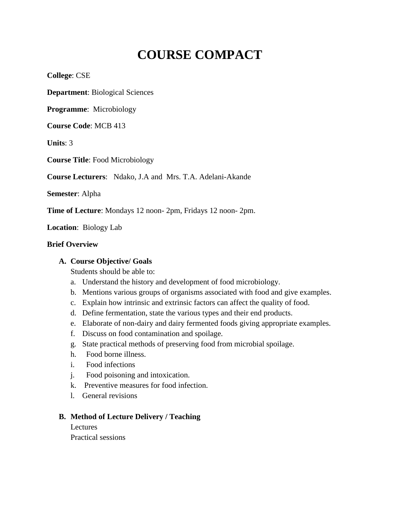# **COURSE COMPACT**

**College**: CSE

**Department**: Biological Sciences

**Programme**: Microbiology

**Course Code**: MCB 413

**Units**: 3

**Course Title**: Food Microbiology

**Course Lecturers**: Ndako, J.A and Mrs. T.A. Adelani-Akande

**Semester**: Alpha

**Time of Lecture**: Mondays 12 noon- 2pm, Fridays 12 noon- 2pm.

**Location**: Biology Lab

#### **Brief Overview**

#### **A. Course Objective/ Goals**

Students should be able to:

- a. Understand the history and development of food microbiology.
- b. Mentions various groups of organisms associated with food and give examples.
- c. Explain how intrinsic and extrinsic factors can affect the quality of food.
- d. Define fermentation, state the various types and their end products.
- e. Elaborate of non-dairy and dairy fermented foods giving appropriate examples.
- f. Discuss on food contamination and spoilage.
- g. State practical methods of preserving food from microbial spoilage.
- h. Food borne illness.
- i. Food infections
- j. Food poisoning and intoxication.
- k. Preventive measures for food infection.
- l. General revisions

# **B. Method of Lecture Delivery / Teaching**

Lectures Practical sessions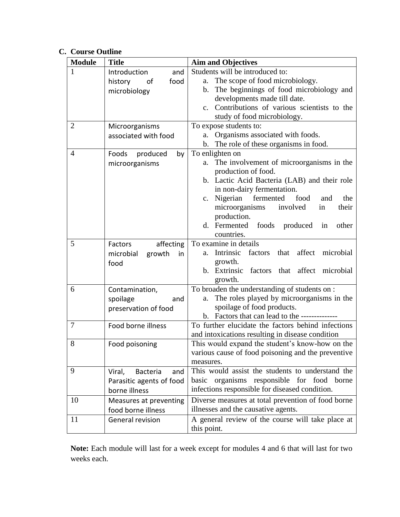# **C. Course Outline**

| <b>Module</b>  | <b>Title</b>                     | <b>Aim and Objectives</b>                                    |
|----------------|----------------------------------|--------------------------------------------------------------|
| 1              | Introduction<br>and              | Students will be introduced to:                              |
|                | history<br>of<br>food            | The scope of food microbiology.<br>a.                        |
|                | microbiology                     | The beginnings of food microbiology and<br>b.                |
|                |                                  | developments made till date.                                 |
|                |                                  | Contributions of various scientists to the<br>$\mathbf{c}$ . |
|                |                                  | study of food microbiology.                                  |
| $\overline{2}$ | Microorganisms                   | To expose students to:                                       |
|                | associated with food             | Organisms associated with foods.<br>a.                       |
|                |                                  | The role of these organisms in food.<br>b.                   |
| 4              | Foods<br>produced<br>by          | To enlighten on                                              |
|                | microorganisms                   | The involvement of microorganisms in the<br>a.               |
|                |                                  | production of food.                                          |
|                |                                  | b. Lactic Acid Bacteria (LAB) and their role                 |
|                |                                  | in non-dairy fermentation.                                   |
|                |                                  | c. Nigerian<br>fermented<br>food<br>the<br>and               |
|                |                                  | microorganisms<br>involved<br>their<br>in                    |
|                |                                  | production.                                                  |
|                |                                  | d. Fermented<br>foods produced<br>in<br>other                |
|                |                                  | countries.                                                   |
| 5              | affecting<br>Factors             | To examine in details                                        |
|                | microbial<br>growth<br>in.       | Intrinsic<br>factors<br>that<br>affect<br>microbial<br>a.    |
|                | food                             | growth.                                                      |
|                |                                  | b. Extrinsic factors that affect microbial                   |
|                |                                  | growth.                                                      |
| 6              | Contamination,                   | To broaden the understanding of students on :                |
|                | spoilage<br>and                  | The roles played by microorganisms in the<br>a.              |
|                | preservation of food             | spoilage of food products.                                   |
|                |                                  | b. Factors that can lead to the --------------               |
| 7              | Food borne illness               | To further elucidate the factors behind infections           |
|                |                                  | and intoxications resulting in disease condition             |
| 8              | Food poisoning                   | This would expand the student's know-how on the              |
|                |                                  | various cause of food poisoning and the preventive           |
|                |                                  | measures.                                                    |
| 9              | <b>Bacteria</b><br>Viral,<br>and | This would assist the students to understand the             |
|                | Parasitic agents of food         | basic organisms responsible for food borne                   |
|                | borne illness                    | infections responsible for diseased condition.               |
| 10             | Measures at preventing           | Diverse measures at total prevention of food borne           |
|                | food borne illness               | illnesses and the causative agents.                          |
| 11             | General revision                 | A general review of the course will take place at            |
|                |                                  | this point.                                                  |

**Note:** Each module will last for a week except for modules 4 and 6 that will last for two weeks each.